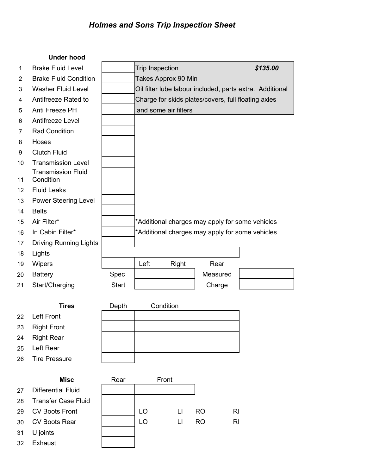## *Holmes and Sons Trip Inspection Sheet*

## **Under hood**

| $\mathbf 1$     | <b>Brake Fluid Level</b>               |              | <b>Trip Inspection</b> |       |                                                     | \$135.00                                                 |
|-----------------|----------------------------------------|--------------|------------------------|-------|-----------------------------------------------------|----------------------------------------------------------|
| 2               | <b>Brake Fluid Condition</b>           |              | Takes Approx 90 Min    |       |                                                     |                                                          |
| 3               | <b>Washer Fluid Level</b>              |              |                        |       |                                                     | Oil filter lube labour included, parts extra. Additional |
| 4               | Antifreeze Rated to                    |              |                        |       | Charge for skids plates/covers, full floating axles |                                                          |
| 5               | Anti Freeze PH                         |              | and some air filters   |       |                                                     |                                                          |
| 6               | <b>Antifreeze Level</b>                |              |                        |       |                                                     |                                                          |
| 7               | <b>Rad Condition</b>                   |              |                        |       |                                                     |                                                          |
| 8               | Hoses                                  |              |                        |       |                                                     |                                                          |
| 9               | <b>Clutch Fluid</b>                    |              |                        |       |                                                     |                                                          |
| 10              | <b>Transmission Level</b>              |              |                        |       |                                                     |                                                          |
| 11              | <b>Transmission Fluid</b><br>Condition |              |                        |       |                                                     |                                                          |
| 12 <sup>2</sup> | <b>Fluid Leaks</b>                     |              |                        |       |                                                     |                                                          |
| 13              | <b>Power Steering Level</b>            |              |                        |       |                                                     |                                                          |
| 14              | <b>Belts</b>                           |              |                        |       |                                                     |                                                          |
| 15              | Air Filter*                            |              |                        |       | *Additional charges may apply for some vehicles     |                                                          |
| 16              | In Cabin Filter*                       |              |                        |       | *Additional charges may apply for some vehicles     |                                                          |
| 17              | <b>Driving Running Lights</b>          |              |                        |       |                                                     |                                                          |
| 18              | Lights                                 |              |                        |       |                                                     |                                                          |
| 19              | <b>Wipers</b>                          |              | Left                   | Right | Rear                                                |                                                          |
| 20              | <b>Battery</b>                         | Spec         |                        |       | Measured                                            |                                                          |
| 21              | Start/Charging                         | <b>Start</b> |                        |       | Charge                                              |                                                          |

|    | <b>Tires</b>       | Depth | Condition |
|----|--------------------|-------|-----------|
|    | 22 Left Front      |       |           |
| 23 | <b>Right Front</b> |       |           |
| 24 | <b>Right Rear</b>  |       |           |
| 25 | Left Rear          |       |           |
| 26 | Tire Pressure      |       |           |

|    | <b>Misc</b>                | Rear |    | Front |    |           |    |
|----|----------------------------|------|----|-------|----|-----------|----|
| 27 | <b>Differential Fluid</b>  |      |    |       |    |           |    |
| 28 | <b>Transfer Case Fluid</b> |      |    |       |    |           |    |
| 29 | <b>CV Boots Front</b>      |      | LO |       | LI | RO.       | RI |
| 30 | <b>CV Boots Rear</b>       |      | LO |       | LI | <b>RO</b> | RI |
| 31 | U joints                   |      |    |       |    |           |    |
| 32 | Exhaust                    |      |    |       |    |           |    |